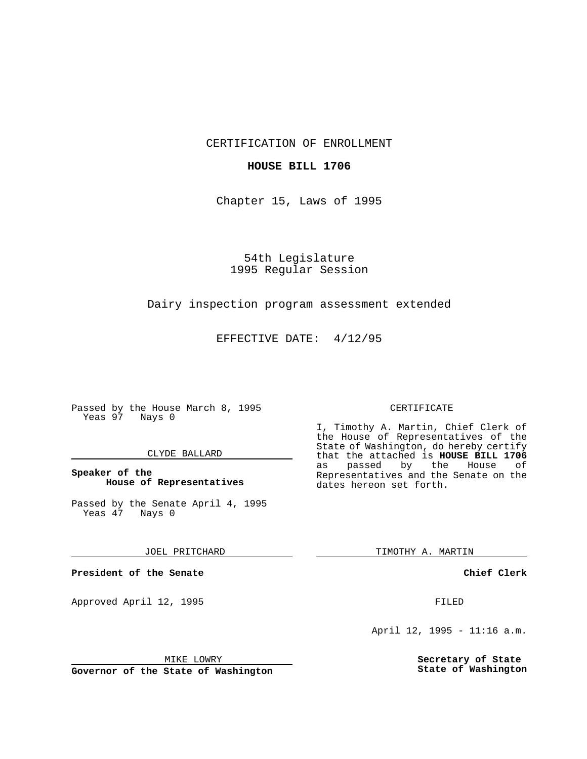CERTIFICATION OF ENROLLMENT

## **HOUSE BILL 1706**

Chapter 15, Laws of 1995

54th Legislature 1995 Regular Session

## Dairy inspection program assessment extended

EFFECTIVE DATE: 4/12/95

Passed by the House March 8, 1995 Yeas 97 Nays 0

### CLYDE BALLARD

## **Speaker of the House of Representatives**

Passed by the Senate April 4, 1995<br>Yeas 47 Nays 0 Yeas 47

#### JOEL PRITCHARD

**President of the Senate**

Approved April 12, 1995 FILED

# CERTIFICATE

I, Timothy A. Martin, Chief Clerk of the House of Representatives of the State of Washington, do hereby certify that the attached is **HOUSE BILL 1706** as passed by the Representatives and the Senate on the dates hereon set forth.

TIMOTHY A. MARTIN

**Chief Clerk**

April 12, 1995 - 11:16 a.m.

**Secretary of State State of Washington**

MIKE LOWRY

**Governor of the State of Washington**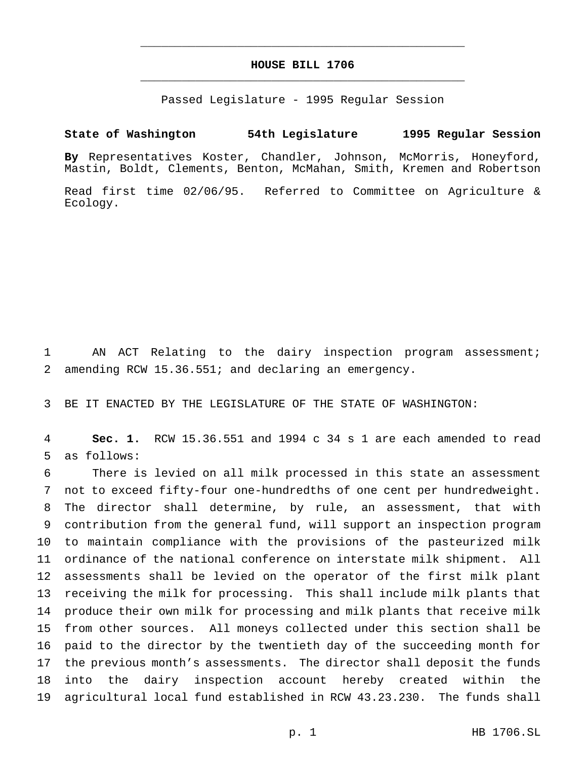# **HOUSE BILL 1706** \_\_\_\_\_\_\_\_\_\_\_\_\_\_\_\_\_\_\_\_\_\_\_\_\_\_\_\_\_\_\_\_\_\_\_\_\_\_\_\_\_\_\_\_\_\_\_

\_\_\_\_\_\_\_\_\_\_\_\_\_\_\_\_\_\_\_\_\_\_\_\_\_\_\_\_\_\_\_\_\_\_\_\_\_\_\_\_\_\_\_\_\_\_\_

Passed Legislature - 1995 Regular Session

## **State of Washington 54th Legislature 1995 Regular Session**

**By** Representatives Koster, Chandler, Johnson, McMorris, Honeyford, Mastin, Boldt, Clements, Benton, McMahan, Smith, Kremen and Robertson

Read first time 02/06/95. Referred to Committee on Agriculture & Ecology.

 AN ACT Relating to the dairy inspection program assessment; amending RCW 15.36.551; and declaring an emergency.

BE IT ENACTED BY THE LEGISLATURE OF THE STATE OF WASHINGTON:

 **Sec. 1.** RCW 15.36.551 and 1994 c 34 s 1 are each amended to read as follows:

 There is levied on all milk processed in this state an assessment not to exceed fifty-four one-hundredths of one cent per hundredweight. The director shall determine, by rule, an assessment, that with contribution from the general fund, will support an inspection program to maintain compliance with the provisions of the pasteurized milk ordinance of the national conference on interstate milk shipment. All assessments shall be levied on the operator of the first milk plant receiving the milk for processing. This shall include milk plants that produce their own milk for processing and milk plants that receive milk from other sources. All moneys collected under this section shall be paid to the director by the twentieth day of the succeeding month for the previous month's assessments. The director shall deposit the funds into the dairy inspection account hereby created within the agricultural local fund established in RCW 43.23.230. The funds shall